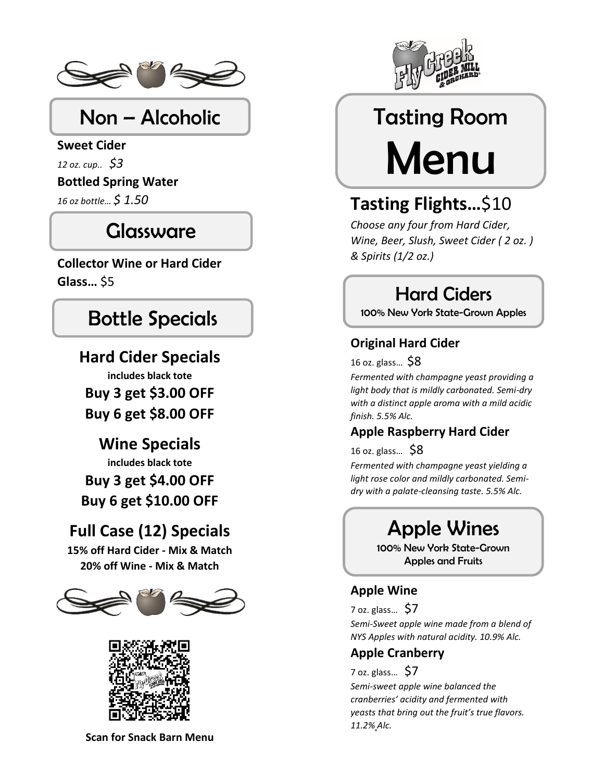

### Non – Alcoholic

#### **Sweet Cider**

*12 oz. cup.. \$3*

#### **Bottled Spring Water**

*16 oz bottle… \$ 1.50*

### **Glassware**

**Collector Wine or Hard Cider Glass…** \$5

### Bottle Specials

**Hard Cider Specials includes black tote Buy 3 get \$3.00 OFF Buy 6 get \$8.00 OFF**

#### **Wine Specials includes black tote**

**Buy 3 get \$4.00 OFF Buy 6 get \$10.00 OFF**

### **Full Case (12) Specials**

**15% off Hard Cider - Mix & Match 20% off Wine - Mix & Match**





**Scan for Snack Barn Menu**



# Tasting Room Menu

### **Tasting Flights…**\$10

*Choose any four from Hard Cider, Wine, Beer, Slush, Sweet Cider ( 2 oz. ) & Spirits (1/2 oz.)* 

### Hard Ciders

100% New York State-Grown Apples

#### **Original Hard Cider**

16 oz. glass… \$8

*Fermented with champagne yeast providing a light body that is mildly carbonated. Semi-dry with a distinct apple aroma with a mild acidic finish. 5.5% Alc.*

#### **Apple Raspberry Hard Cider**

16 oz. glass… \$8

*Fermented with champagne yeast yielding a light rose color and mildly carbonated. Semidry with a palate-cleansing taste. 5.5% Alc.*

# Apple Wines

100% New York State-Grown Apples and Fruits

#### **Apple Wine**

7 oz. glass… \$7 *Semi-Sweet apple wine made from a blend of NYS Apples with natural acidity. 10.9% Alc.*

#### **Apple Cranberry**

7 oz. glass… \$7

*Semi-sweet apple wine balanced the cranberries' acidity and fermented with yeasts that bring out the fruit's true flavors. 11.2% Alc.*